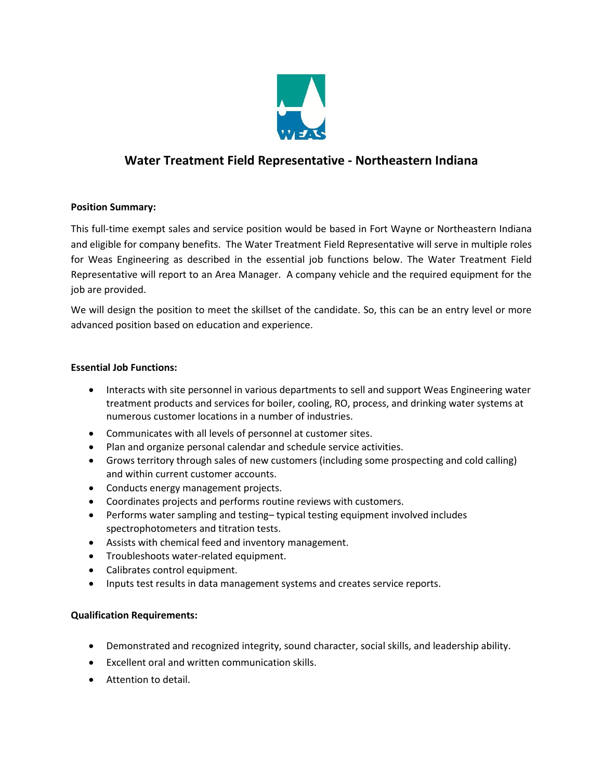

# **Water Treatment Field Representative - Northeastern Indiana**

## **Position Summary:**

This full-time exempt sales and service position would be based in Fort Wayne or Northeastern Indiana and eligible for company benefits. The Water Treatment Field Representative will serve in multiple roles for Weas Engineering as described in the essential job functions below. The Water Treatment Field Representative will report to an Area Manager. A company vehicle and the required equipment for the job are provided.

We will design the position to meet the skillset of the candidate. So, this can be an entry level or more advanced position based on education and experience.

### **Essential Job Functions:**

- Interacts with site personnel in various departments to sell and support Weas Engineering water treatment products and services for boiler, cooling, RO, process, and drinking water systems at numerous customer locations in a number of industries.
- Communicates with all levels of personnel at customer sites.
- Plan and organize personal calendar and schedule service activities.
- Grows territory through sales of new customers (including some prospecting and cold calling) and within current customer accounts.
- Conducts energy management projects.
- Coordinates projects and performs routine reviews with customers.
- Performs water sampling and testing– typical testing equipment involved includes spectrophotometers and titration tests.
- Assists with chemical feed and inventory management.
- Troubleshoots water-related equipment.
- Calibrates control equipment.
- Inputs test results in data management systems and creates service reports.

#### **Qualification Requirements:**

- Demonstrated and recognized integrity, sound character, social skills, and leadership ability.
- Excellent oral and written communication skills.
- Attention to detail.